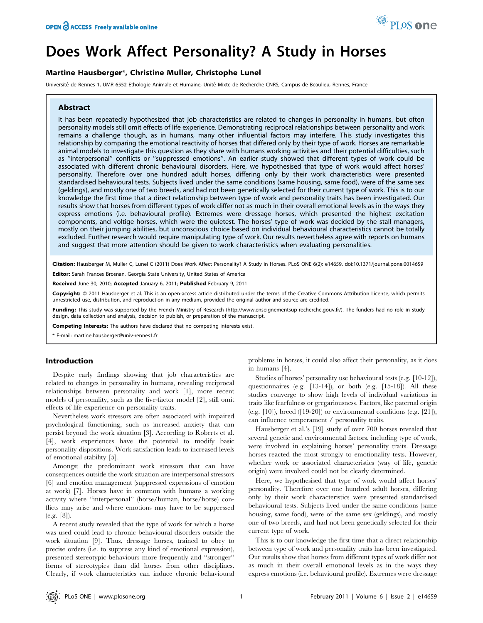# Does Work Affect Personality? A Study in Horses

## Martine Hausberger\*, Christine Muller, Christophe Lunel

Université de Rennes 1, UMR 6552 Ethologie Animale et Humaine, Unité Mixte de Recherche CNRS, Campus de Beaulieu, Rennes, France

#### Abstract

It has been repeatedly hypothesized that job characteristics are related to changes in personality in humans, but often personality models still omit effects of life experience. Demonstrating reciprocal relationships between personality and work remains a challenge though, as in humans, many other influential factors may interfere. This study investigates this relationship by comparing the emotional reactivity of horses that differed only by their type of work. Horses are remarkable animal models to investigate this question as they share with humans working activities and their potential difficulties, such as ''interpersonal'' conflicts or ''suppressed emotions''. An earlier study showed that different types of work could be associated with different chronic behavioural disorders. Here, we hypothesised that type of work would affect horses' personality. Therefore over one hundred adult horses, differing only by their work characteristics were presented standardised behavioural tests. Subjects lived under the same conditions (same housing, same food), were of the same sex (geldings), and mostly one of two breeds, and had not been genetically selected for their current type of work. This is to our knowledge the first time that a direct relationship between type of work and personality traits has been investigated. Our results show that horses from different types of work differ not as much in their overall emotional levels as in the ways they express emotions (i.e. behavioural profile). Extremes were dressage horses, which presented the highest excitation components, and voltige horses, which were the quietest. The horses' type of work was decided by the stall managers, mostly on their jumping abilities, but unconscious choice based on individual behavioural characteristics cannot be totally excluded. Further research would require manipulating type of work. Our results nevertheless agree with reports on humans and suggest that more attention should be given to work characteristics when evaluating personalities.

Citation: Hausberger M, Muller C, Lunel C (2011) Does Work Affect Personality? A Study in Horses. PLoS ONE 6(2): e14659. doi:10.1371/journal.pone.0014659 Editor: Sarah Frances Brosnan, Georgia State University, United States of America

Received June 30, 2010; Accepted January 6, 2011; Published February 9, 2011

Copyright: © 2011 Hausberger et al. This is an open-access article distributed under the terms of the Creative Commons Attribution License, which permits unrestricted use, distribution, and reproduction in any medium, provided the original author and source are credited.

Funding: This study was supported by the French Ministry of Research (http://www.enseignementsup-recherche.gouv.fr/). The funders had no role in study design, data collection and analysis, decision to publish, or preparation of the manuscript.

Competing Interests: The authors have declared that no competing interests exist.

\* E-mail: martine.hausberger@univ-rennes1.fr

## Introduction

Despite early findings showing that job characteristics are related to changes in personality in humans, revealing reciprocal relationships between personality and work [1], more recent models of personality, such as the five-factor model [2], still omit effects of life experience on personality traits.

Nevertheless work stressors are often associated with impaired psychological functioning, such as increased anxiety that can persist beyond the work situation [3]. According to Roberts et al. [4], work experiences have the potential to modify basic personality dispositions. Work satisfaction leads to increased levels of emotional stability [5].

Amongst the predominant work stressors that can have consequences outside the work situation are interpersonal stressors [6] and emotion management (suppressed expressions of emotion at work) [7]. Horses have in common with humans a working activity where ''interpersonal'' (horse/human, horse/horse) conflicts may arise and where emotions may have to be suppressed (e.g. [8]).

A recent study revealed that the type of work for which a horse was used could lead to chronic behavioural disorders outside the work situation [9]. Thus, dressage horses, trained to obey to precise orders (i.e. to suppress any kind of emotional expression), presented stereotypic behaviours more frequently and ''stronger'' forms of stereotypies than did horses from other disciplines. Clearly, if work characteristics can induce chronic behavioural problems in horses, it could also affect their personality, as it does in humans [4].

Studies of horses' personality use behavioural tests (e.g. [10-12]), questionnaires (e.g. [13-14]), or both (e.g. [15-18]). All these studies converge to show high levels of individual variations in traits like fearfulness or gregariousness. Factors, like paternal origin (e.g.  $[10]$ ), breed  $([19-20])$  or environmental conditions (e.g.  $[21]$ ), can influence temperament / personality traits.

Hausberger et al.'s [19] study of over 700 horses revealed that several genetic and environmental factors, including type of work, were involved in explaining horses' personality traits. Dressage horses reacted the most strongly to emotionality tests. However, whether work or associated characteristics (way of life, genetic origin) were involved could not be clearly determined.

Here, we hypothesised that type of work would affect horses' personality. Therefore over one hundred adult horses, differing only by their work characteristics were presented standardised behavioural tests. Subjects lived under the same conditions (same housing, same food), were of the same sex (geldings), and mostly one of two breeds, and had not been genetically selected for their current type of work.

This is to our knowledge the first time that a direct relationship between type of work and personality traits has been investigated. Our results show that horses from different types of work differ not as much in their overall emotional levels as in the ways they express emotions (i.e. behavioural profile). Extremes were dressage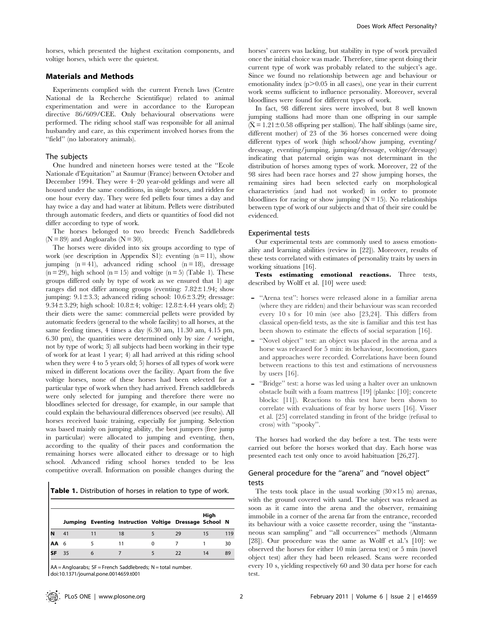horses, which presented the highest excitation components, and voltige horses, which were the quietest.

#### Materials and Methods

Experiments complied with the current French laws (Centre National de la Recherche Scientifique) related to animal experimentation and were in accordance to the European directive 86/609/CEE. Only behavioural observations were performed. The riding school staff was responsible for all animal husbandry and care, as this experiment involved horses from the ''field'' (no laboratory animals).

## The subjects

One hundred and nineteen horses were tested at the ''Ecole Nationale d'Equitation'' at Saumur (France) between October and December 1994. They were 4–20 year-old geldings and were all housed under the same conditions, in single boxes, and ridden for one hour every day. They were fed pellets four times a day and hay twice a day and had water at libitum. Pellets were distributed through automatic feeders, and diets or quantities of food did not differ according to type of work.

The horses belonged to two breeds: French Saddlebreds  $(N = 89)$  and Angloarabs  $(N = 30)$ .

The horses were divided into six groups according to type of work (see description in Appendix S1): eventing  $(n = 11)$ , show jumping  $(n = 41)$ , advanced riding school  $(n = 18)$ , dressage  $(n = 29)$ , high school  $(n = 15)$  and voltige  $(n = 5)$  (Table 1). These groups differed only by type of work as we ensured that 1) age ranges did not differ among groups (eventing:  $7.82 \pm 1.94$ ; show jumping:  $9.1 \pm 3.3$ ; advanced riding school:  $10.6 \pm 3.29$ ; dressage: 9.34 $\pm$ 3.29; high school: 10.8 $\pm$ 4; voltige: 12.8 $\pm$ 4.44 years old); 2) their diets were the same: commercial pellets were provided by automatic feeders (general to the whole facility) to all horses, at the same feeding times, 4 times a day (6.30 am, 11.30 am, 4.15 pm, 6.30 pm), the quantities were determined only by size / weight, not by type of work; 3) all subjects had been working in their type of work for at least 1 year; 4) all had arrived at this riding school when they were 4 to 5 years old; 5) horses of all types of work were mixed in different locations over the facility. Apart from the five voltige horses, none of these horses had been selected for a particular type of work when they had arrived. French saddlebreds were only selected for jumping and therefore there were no bloodlines selected for dressage, for example, in our sample that could explain the behavioural differences observed (see results). All horses received basic training, especially for jumping. Selection was based mainly on jumping ability, the best jumpers (free jump in particular) were allocated to jumping and eventing, then, according to the quality of their paces and conformation the remaining horses were allocated either to dressage or to high school. Advanced riding school horses tended to be less competitive overall. Information on possible changes during the

Table 1. Distribution of horses in relation to type of work.

|             |    | Jumping Eventing Instruction Voltige Dressage School N |    | High |     |
|-------------|----|--------------------------------------------------------|----|------|-----|
|             | 41 | 18                                                     | 29 | 15   | 119 |
| <b>AA</b> 6 |    | 11                                                     |    |      | 30  |
| l SF        | 35 |                                                        | 22 | 14   | 89  |

 $AA =$  Angloarabs; SF = French Saddlebreds; N = total number. doi:10.1371/journal.pone.0014659.t001

horses' careers was lacking, but stability in type of work prevailed once the initial choice was made. Therefore, time spent doing their current type of work was probably related to the subject's age. Since we found no relationship between age and behaviour or emotionality index  $(p>0.05$  in all cases), one year in their current work seems sufficient to influence personality. Moreover, several bloodlines were found for different types of work.

In fact, 98 different sires were involved, but 8 well known jumping stallions had more than one offspring in our sample  $(\bar{X} = 1.21 \pm 0.58)$  offspring per stallion). The half siblings (same sire, different mother) of 23 of the 36 horses concerned were doing different types of work (high school/show jumping, eventing/ dressage, eventing/jumping, jumping/dressage, voltige/dressage) indicating that paternal origin was not determinant in the distribution of horses among types of work. Moreover, 22 of the 98 sires had been race horses and 27 show jumping horses, the remaining sires had been selected early on morphological characteristics (and had not worked) in order to promote bloodlines for racing or show jumping  $(N = 15)$ . No relationships between type of work of our subjects and that of their sire could be evidenced.

#### Experimental tests

Our experimental tests are commonly used to assess emotionality and learning abilities (review in [22]). Moreover, results of these tests correlated with estimates of personality traits by users in working situations [16].

Tests estimating emotional reactions. Three tests, described by Wolff et al. [10] were used:

- ''Arena test'': horses were released alone in a familiar arena (where they are ridden) and their behaviour was scan recorded every 10 s for 10 min (see also [23,24]. This differs from classical open-field tests, as the site is familiar and this test has been shown to estimate the effects of social separation [16].
- ''Novel object'' test: an object was placed in the arena and a horse was released for 5 min: its behaviour, locomotion, gazes and approaches were recorded. Correlations have been found between reactions to this test and estimations of nervousness by users [16].
- ''Bridge'' test: a horse was led using a halter over an unknown obstacle built with a foam mattress [19] (planks: [10]; concrete blocks: [11]). Reactions to this test have been shown to correlate with evaluations of fear by horse users [16]. Visser et al. [25] correlated standing in front of the bridge (refusal to cross) with ''spooky''.

The horses had worked the day before a test. The tests were carried out before the horses worked that day. Each horse was presented each test only once to avoid habituation [26,27].

## General procedure for the ''arena'' and ''novel object'' tests

The tests took place in the usual working  $(30 \times 15 \text{ m})$  arenas, with the ground covered with sand. The subject was released as soon as it came into the arena and the observer, remaining immobile in a corner of the arena far from the entrance, recorded its behaviour with a voice cassette recorder, using the ''instantaneous scan sampling'' and ''all occurrences'' methods (Altmann [28]). Our procedure was the same as Wolff et al.'s [10]: we observed the horses for either 10 min (arena test) or 5 min (novel object test) after they had been released. Scans were recorded every 10 s, yielding respectively 60 and 30 data per horse for each test.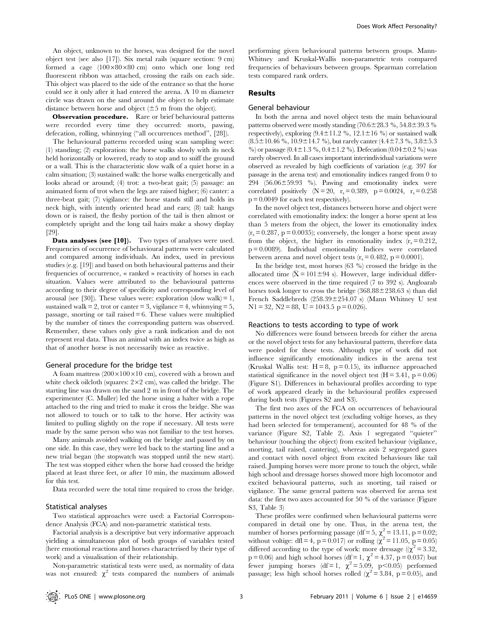An object, unknown to the horses, was designed for the novel object test (see also [17]). Six metal rails (square section: 9 cm) formed a cage  $(100\times80\times80$  cm) onto which one long red fluorescent ribbon was attached, crossing the rails on each side. This object was placed to the side of the entrance so that the horse could see it only after it had entered the arena. A 10 m diameter circle was drawn on the sand around the object to help estimate distance between horse and object  $(\pm 5 \text{ m from the object}).$ 

Observation procedure. Rare or brief behavioural patterns were recorded every time they occurred: snorts, pawing, defecation, rolling, whinnying (''all occurrences method'', [28]).

The behavioural patterns recorded using scan sampling were: (1) standing; (2) exploration: the horse walks slowly with its neck held horizontally or lowered, ready to stop and to sniff the ground or a wall. This is the characteristic slow walk of a quiet horse in a calm situation; (3) sustained walk: the horse walks energetically and looks ahead or around; (4) trot: a two-beat gait; (5) passage: an animated form of trot when the legs are raised higher; (6) canter: a three-beat gait; (7) vigilance: the horse stands still and holds its neck high, with intently oriented head and ears; (8) tail: hangs down or is raised, the fleshy portion of the tail is then almost or completely upright and the long tail hairs make a showy display [29].

Data analyses (see [10]). Two types of analyses were used. Frequencies of occurrence of behavioural patterns were calculated and compared among individuals. An index, used in previous studies (e.g. [19]) and based on both behavioural patterns and their frequencies of occurrence, « ranked » reactivity of horses in each situation. Values were attributed to the behavioural patterns according to their degree of specificity and corresponding level of arousal (see [30]). These values were: exploration (slow walk) = 1, sustained walk  $= 2$ , trot or canter  $= 3$ , vigilance  $= 4$ , whinnying  $= 5$ , passage, snorting or tail raised  $= 6$ . These values were multiplied by the number of times the corresponding pattern was observed. Remember, these values only give a rank indication and do not represent real data. Thus an animal with an index twice as high as that of another horse is not necessarily twice as reactive.

#### General procedure for the bridge test

A foam mattress  $(200 \times 100 \times 10$  cm), covered with a brown and white check oilcloth (squares:  $2 \times 2$  cm), was called the bridge. The starting line was drawn on the sand 2 m in front of the bridge. The experimenter (C. Muller) led the horse using a halter with a rope attached to the ring and tried to make it cross the bridge. She was not allowed to touch or to talk to the horse. Her activity was limited to pulling slightly on the rope if necessary. All tests were made by the same person who was not familiar to the test horses.

Many animals avoided walking on the bridge and passed by on one side. In this case, they were led back to the starting line and a new trial began (the stopwatch was stopped until the new start). The test was stopped either when the horse had crossed the bridge placed at least three feet, or after 10 min, the maximum allowed for this test.

Data recorded were the total time required to cross the bridge.

## Statistical analyses

Two statistical approaches were used: a Factorial Correspondence Analysis (FCA) and non-parametric statistical tests.

Factorial analysis is a descriptive but very informative approach yielding a simultaneous plot of both groups of variables tested (here emotional reactions and horses characterised by their type of work) and a visualisation of their relationship.

Non-parametric statistical tests were used, as normality of data was not ensured:  $\chi^2$  tests compared the numbers of animals

performing given behavioural patterns between groups. Mann-Whitney and Kruskal-Wallis non-parametric tests compared frequencies of behaviours between groups. Spearman correlation tests compared rank orders.

## Results

#### General behaviour

In both the arena and novel object tests the main behavioural patterns observed were mostly standing  $(70.6 \pm 28.3 \%)$ , 54.8 $\pm$ 39.3 % respectively), exploring  $(9.4 \pm 11.2 \%$ ,  $12.1 \pm 16 \%$  or sustained walk  $(8.5\pm10.46 \%, 10.9\pm14.7 \%)$ , but rarely canter  $(4.4\pm7.3 \%, 3.8\pm5.3 \%)$ %) or passage (0.4 $\pm$ 1.3 %, 0.4 $\pm$ 1.2 %). Defecation (0.04 $\pm$ 0.2 %) was rarely observed. In all cases important interindividual variations were observed as revealed by high coefficients of variation (e.g. 397 for passage in the arena test) and emotionality indices ranged from 0 to 294  $(56.06\pm59.93 \%)$ . Pawing and emotionality index were correlated positively  $(N = 20, r_s = 0.389, p = 0.0024, r_s = 0.258$  $p = 0.0049$  for each test respectively).

In the novel object test, distances between horse and object were correlated with emotionality index: the longer a horse spent at less than 5 meters from the object, the lower its emotionality index  $(r_s = 0.287, p = 0.0035)$ ; conversely, the longer a horse spent away from the object, the higher its emotionality index  $(r_s = 0.212)$ , p = 0.0089). Individual emotionality Indices were correlated between arena and novel object tests  $(r_s = 0.482, p = 0.0001)$ .

In the bridge test, most horses (63 %) crossed the bridge in the allocated time  $(\bar{X} = 101 \pm 94 \text{ s})$ . However, large individual differences were observed in the time required (7 to 392 s). Angloarab horses took longer to cross the bridge  $(368.88 \pm 238.63 \text{ s})$  than did French Saddlebreds  $(258.39 \pm 254.07 \text{ s})$  (Mann Whitney U test  $N1 = 32$ ,  $N2 = 88$ ,  $U = 1043.5$   $p = 0.026$ ).

#### Reactions to tests according to type of work

No differences were found between breeds for either the arena or the novel object tests for any behavioural pattern, therefore data were pooled for these tests. Although type of work did not influence significantly emotionality indices in the arena test (Kruskal Wallis test:  $H = 8$ ,  $p = 0.15$ ), its influence approached statistical significance in the novel object test  $(H = 3.41, p = 0.06)$ (Figure S1). Differences in behavioural profiles according to type of work appeared clearly in the behavioural profiles expressed during both tests (Figures S2 and S3).

The first two axes of the FCA on occurrences of behavioural patterns in the novel object test (excluding voltige horses, as they had been selected for temperament), accounted for 48 % of the variance (Figure S2, Table 2). Axis 1 segregated ''quieter'' behaviour (touching the object) from excited behaviour (vigilance, snorting, tail raised, cantering), whereas axis 2 segregated gazes and contact with novel object from excited behaviours like tail raised. Jumping horses were more prone to touch the object, while high school and dressage horses showed more high locomotor and excited behavioural patterns, such as snorting, tail raised or vigilance. The same general pattern was observed for arena test data: the first two axes accounted for 50 % of the variance (Figure S3, Table 3)

These profiles were confirmed when behavioural patterns were compared in detail one by one. Thus, in the arena test, the number of horses performing passage (df = 5,  $\chi^2 = 13.11$ , p = 0.02; without voltige: dfl = 4, p = 0.017) or rolling ( $\chi^2$  = 11.05, p = 0.05) differed according to the type of work: more dressage ( $(\chi^2 = 3.32)$ ,  $p = 0.06$ ) and high school horses (df = 1,  $\chi^2 = 4.37$ ,  $p = 0.037$ ) but fewer jumping horses (df = 1,  $\chi^2$  = 5.09, p<0.05) performed passage; less high school horses rolled ( $\chi^2$  = 3.84, p = 0.05), and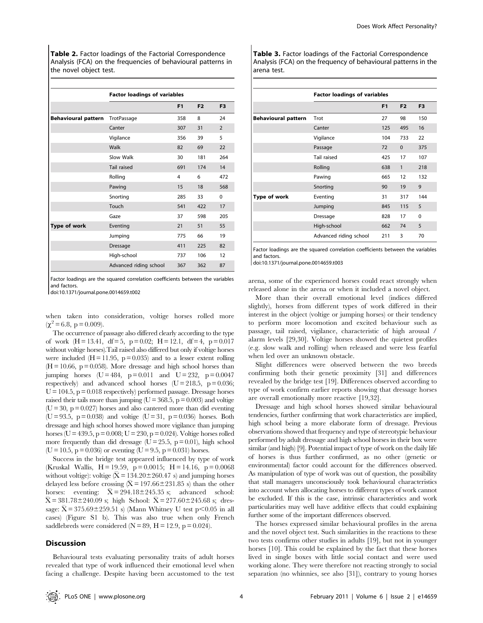Table 2. Factor loadings of the Factorial Correspondence Analysis (FCA) on the frequencies of behavioural patterns in the novel object test.

|                            | <b>Factor loadings of variables</b> |                |                |                |  |
|----------------------------|-------------------------------------|----------------|----------------|----------------|--|
|                            |                                     | F <sub>1</sub> | F <sub>2</sub> | F <sub>3</sub> |  |
| <b>Behavioural pattern</b> | TrotPassage                         | 358            | 8              | 24             |  |
|                            | Canter                              | 307            | 31             | $\overline{2}$ |  |
|                            | Vigilance                           | 356            | 39             | 5              |  |
|                            | Walk                                | 82             | 69             | 22             |  |
|                            | Slow Walk                           | 30             | 181            | 264            |  |
|                            | Tail raised                         | 691            | 174            | 14             |  |
|                            | Rolling                             | 4              | 6              | 472            |  |
|                            | Pawing                              | 15             | 18             | 568            |  |
|                            | Snorting                            | 285            | 33             | $\Omega$       |  |
|                            | Touch                               | 541            | 422            | 17             |  |
|                            | Gaze                                | 37             | 598            | 205            |  |
| Type of work               | Eventing                            | 21             | 51             | 55             |  |
|                            | Jumping                             | 775            | 66             | 19             |  |
|                            | <b>Dressage</b>                     | 411            | 225            | 82             |  |
|                            | High-school                         | 737            | 106            | 12             |  |
|                            | Advanced riding school              | 367            | 362            | 87             |  |

Factor loadings are the squared correlation coefficients between the variables and factors.

doi:10.1371/journal.pone.0014659.t002

when taken into consideration, voltige horses rolled more  $(\chi^2 = 6.8, p = 0.009).$ 

The occurrence of passage also differed clearly according to the type of work  $(H = 13.41, df = 5, p = 0.02; H = 12.1, df = 4, p = 0.017$ without voltige horses).Tail raised also differed but only if voltige horses were included  $(H = 11.95, p = 0.035)$  and to a lesser extent rolling  $(H = 10.66, p = 0.058)$ . More dressage and high school horses than jumping horses  $(U = 484, p = 0.011$  and  $U = 232, p = 0.0047$ respectively) and advanced school horses  $(U = 218.5, p = 0.036;$  $U = 104.5$ ,  $p = 0.018$  respectively) performed passage. Dressage horses raised their tails more than jumping ( $U = 368.5$ ,  $p = 0.003$ ) and voltige  $(U = 30, p = 0.027)$  horses and also cantered more than did eventing (U = 93.5, p = 0.038) and voltige (U = 31, p = 0.036) horses. Both dressage and high school horses showed more vigilance than jumping horses (U = 439.5, p = 0.008; U = 230, p = 0.024). Voltige horses rolled more frequently than did dressage  $(U = 25.5, p = 0.01)$ , high school  $(U = 10.5, p = 0.036)$  or eventing  $(U = 9.5, p = 0.031)$  horses.

Success in the bridge test appeared influenced by type of work (Kruskal Wallis,  $H = 19.59$ ,  $p = 0.0015$ ;  $H = 14.16$ ,  $p = 0.0068$ without voltige): voltige  $(\bar{X} = 134.20 \pm 260.47 \text{ s})$  and jumping horses delayed less before crossing  $(\bar{X} = 197.66 \pm 231.85 \text{ s})$  than the other horses: eventing:  $\bar{X} = 294.18 \pm 25.35$  s; advanced school:<br>horses: eventing:  $\bar{X} = 294.18 \pm 25.35$  s; advanced school:<br> $\bar{Y} = 291.79 \pm 240.00$  at high School:  $\bar{Y} = 277.60 \pm 245.69$  at drea- $\overline{X} = 381.78 \pm 240.09$  s; high School:  $\overline{X} = 277.60 \pm 245.68$  s; dressage:  $\bar{X} = 375.69 \pm 259.51$  s) (Mann Whitney U test p < 0.05 in all cases) (Figure S1 b). This was also true when only French saddlebreds were considered  $(N = 89, H = 12.9, p = 0.024)$ .

#### **Discussion**

Behavioural tests evaluating personality traits of adult horses revealed that type of work influenced their emotional level when facing a challenge. Despite having been accustomed to the test Table 3. Factor loadings of the Factorial Correspondence Analysis (FCA) on the frequency of behavioural patterns in the arena test.

|                            | <b>Factor loadings of variables</b> |                |                |                |
|----------------------------|-------------------------------------|----------------|----------------|----------------|
|                            |                                     | F <sub>1</sub> | F <sub>2</sub> | F <sub>3</sub> |
| <b>Behavioural pattern</b> | Trot                                | 27             | 98             | 150            |
|                            | Canter                              | 125            | 495            | 16             |
|                            | Vigilance                           | 104            | 733            | 22             |
|                            | Passage                             | 72             | $\Omega$       | 375            |
|                            | Tail raised                         | 425            | 17             | 107            |
|                            | Rolling                             | 638            | $\mathbf{1}$   | 218            |
|                            | Pawing                              | 665            | 12             | 132            |
|                            | Snorting                            | 90             | 19             | 9              |
| Type of work               | Eventing                            | 31             | 317            | 144            |
|                            | Jumping                             | 845            | 115            | 5              |
|                            | Dressage                            | 828            | 17             | $\Omega$       |
|                            | High-school                         | 662            | 74             | 5              |
|                            | Advanced riding school              | 211            | 3              | 70             |

Factor loadings are the squared correlation coefficients between the variables and factors.

doi:10.1371/journal.pone.0014659.t003

arena, some of the experienced horses could react strongly when released alone in the arena or when it included a novel object.

More than their overall emotional level (indices differed slightly), horses from different types of work differed in their interest in the object (voltige or jumping horses) or their tendency to perform more locomotion and excited behaviour such as passage, tail raised, vigilance, characteristic of high arousal / alarm levels [29,30]. Voltige horses showed the quietest profiles (e.g. slow walk and rolling) when released and were less fearful when led over an unknown obstacle.

Slight differences were observed between the two breeds confirming both their genetic proximity [31] and differences revealed by the bridge test [19]. Differences observed according to type of work confirm earlier reports showing that dressage horses are overall emotionally more reactive [19,32].

Dressage and high school horses showed similar behavioural tendencies, further confirming that work characteristics are implied, high school being a more elaborate form of dressage. Previous observations showed that frequency and type of stereotypic behaviour performed by adult dressage and high school horses in their box were similar (and high) [9]. Potential impact of type of work on the daily life of horses is thus further confirmed, as no other (genetic or environmental) factor could account for the differences observed. As manipulation of type of work was out of question, the possibility that stall managers unconsciously took behavioural characteristics into account when allocating horses to different types of work cannot be excluded. If this is the case, intrinsic characteristics and work particularities may well have additive effects that could explaining further some of the important differences observed.

The horses expressed similar behavioural profiles in the arena and the novel object test. Such similarities in the reactions to these two tests confirms other studies in adults [19], but not in younger horses [10]. This could be explained by the fact that these horses lived in single boxes with little social contact and were used working alone. They were therefore not reacting strongly to social separation (no whinnies, see also [31]), contrary to young horses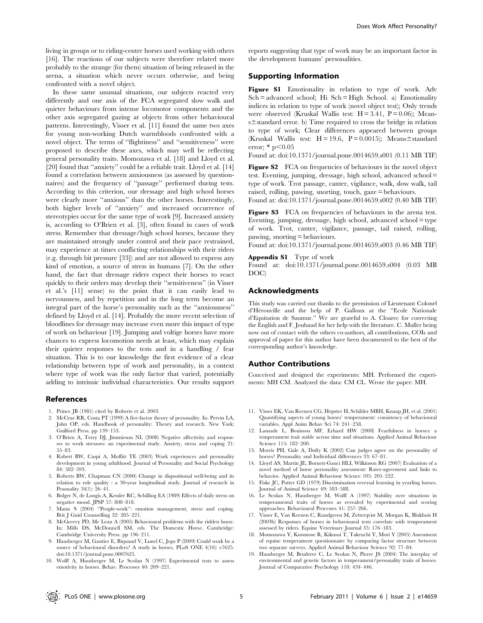living in groups or to riding-centre horses used working with others [16]. The reactions of our subjects were therefore related more probably to the strange (for them) situation of being released in the arena, a situation which never occurs otherwise, and being confronted with a novel object.

In these same unusual situations, our subjects reacted very differently and one axis of the FCA segregated slow walk and quieter behaviours from intense locomotor components and the other axis segregated gazing at objects from other behavioural patterns. Interestingly, Visser et al. [11] found the same two axes for young non-working Dutch warmbloods confronted with a novel object. The terms of ''flightiness'' and ''sensitiveness'' were proposed to describe these axes, which may well be reflecting general personality traits. Momozawa et al. [18] and Lloyd et al. [20] found that ''anxiety'' could be a reliable trait. Lloyd et al. [14] found a correlation between anxiousness (as assessed by questionnaires) and the frequency of ''passage'' performed during tests. According to this criterion, our dressage and high school horses were clearly more ''anxious'' than the other horses. Interestingly, both higher levels of ''anxiety'' and increased occurrence of stereotypies occur for the same type of work [9]. Increased anxiety is, according to O'Brien et al. [3], often found in cases of work stress. Remember that dressage/high school horses, because they are maintained strongly under control and their pace restrained, may experience at times conflicting relationships with their riders (e.g. through bit pressure [33]) and are not allowed to express any kind of emotion, a source of stress in humans [7]. On the other hand, the fact that dressage riders expect their horses to react quickly to their orders may develop their ''sensitiveness'' (in Visser et al.'s [11] sense) to the point that it can easily lead to nervousness, and by repetition and in the long term become an integral part of the horse's personality such as the ''anxiousness'' defined by Lloyd et al. [14]. Probably the more recent selection of bloodlines for dressage may increase even more this impact of type of work on behaviour [19]. Jumping and voltige horses have more chances to express locomotion needs at least, which may explain their quieter responses to the tests and in a handling / fear situation. This is to our knowledge the first evidence of a clear relationship between type of work and personality, in a context where type of work was the only factor that varied, potentially adding to intrinsic individual characteristics. Our results support

#### References

- 1. Prince JB (1981) cited by Roberts et al. 2003.
- 2. McCrae RR, Costa PT (1999) A five-factor theory of personality. In: Pervin LA, John OP, eds. Handbook of personality: Theory and research. New York: Guilford Press. pp 139–153.
- 3. O'Brien A, Terry DJ, Jimmieson NL (2008) Negative affectivity and responses to work stressors: an experimental study. Anxiety, stress and coping 21: 55–83.
- 4. Robert BW, Caspi A, Moffitt TE (2003) Work experiences and personality development in young adulthood. Journal of Personality and Social Psychology 84: 582–593.
- 5. Roberts BW, Chapman CN (2000) Change in dispositional well-being and its relation to role quality : a 30-year longitudinal study. Journal of research in Pesonality 34(1): 26–41.
- 6. Bolger N, de Longis A, Kessler RC, Schilling EA (1989) Effects of daily stress on negative mood. JPSP 57: 808–818.
- 7. Mann S (2004) ''People-work'': emotion management, stress and coping. Brit J Guid Counselling 32: 205–221.
- 8. McGreevy PD, Mc Lean A (2005) Behavioural problems with the ridden horse. In: Mills DS, McDonnell SM, eds. The Domestic Horse. Cambridge: Cambridge University Press. pp 196–211.
- 9. Hausberger M, Gautier E, Biquand V, Lunel C, Jego P (2009) Could work be a source of behavioural disorders? A study in horses. PLoS ONE 4(10): e7625. doi:10.1371/journal.pone.0007625.
- 10. Wolff A, Hausberger M, Le Scolan N (1997) Experimental tests to assess emotivity in horses. Behav. Processes 40: 209–221.

reports suggesting that type of work may be an important factor in the development humans' personalities.

## Supporting Information

Figure S1 Emotionality in relation to type of work. Adv  $Sch = advanced school$ ; Hi  $Sch = High School$ , a) Emotionality indices in relation to type of work (novel object test); Only trends were observed (Kruskal Wallis test:  $H = 3.41$ ,  $P = 0.06$ ); Means $\pm$ standard error. b) Time required to cross the bridge in relation to type of work; Clear differences appeared between groups (Kruskal Wallis test:  $H = 19.6$ ,  $P = 0.0015$ ); Means $\pm$ standard error;  $*$  p $< 0.05$ 

Found at: doi:10.1371/journal.pone.0014659.s001 (0.11 MB TIF)

Figure S2 FCA on frequencies of behaviours in the novel object test. Eventing, jumping, dressage, high school, advanced school = type of work. Trot passage, canter, vigilance, walk, slow walk, tail raised, rolling, pawing, snorting, touch, gaze = behaviours.

Found at: doi:10.1371/journal.pone.0014659.s002 (0.40 MB TIF)

Figure S3 FCA on frequencies of behaviours in the arena test. Eventing, jumping, dressage, high school, advanced school = type of work. Trot, canter, vigilance, passage, tail raised, rolling, pawing, snorting = behaviours.

Found at: doi:10.1371/journal.pone.0014659.s003 (0.46 MB TIF)

#### Appendix S1 Type of work

Found at: doi:10.1371/journal.pone.0014659.s004 (0.03 MB DOC)

## Acknowledgments

This study was carried out thanks to the permission of Lieutenant Colonel d'He´rouville and the help of P. Galloux at the ''Ecole Nationale d'Equitation de Saumur.'' We are grateful to A. Cloarec for correcting the English and F. Joubaud for her help with the literature. C. Muller being now out of contact with the others co-authors, all contributions, COIs and approval of paper for this author have been documented to the best of the corresponding author's knowledge.

#### Author Contributions

Conceived and designed the experiments: MH. Performed the experiments: MH CM. Analyzed the data: CM CL. Wrote the paper: MH.

- 11. Visser EK, Van Reenen CG, Hopster H, Schilder MBH, Knaap JH, et al. (2001) Quantifying aspects of young horses' temperament: consistency of behavioural variables. Appl Anim Behav Sci 74: 241–258.
- 12. Lansade L, Bouissou MF, Erhard HW (2008) Fearfulness in horses: a temperament trait stable across time and situations. Applied Animal Behaviour Science 115: 182–200.
- 13. Morris PH, Gale A, Dufty K (2002) Can judges agree on the personality of horses? Personality and Individual differences 33: 67–81.
- 14. Lloyd AS, Martin JE, Bornett-Gauci HLI, Wilkinson RG (2007) Evaluation of a novel method of horse personality assessment: Rater-agreement and links to behavior. Applied Animal Behaviour Science 105: 205–222.
- 15. Fiske JC, Potter GD (1979) Discrimination reversal learning in yearling horses. Journal of Animal Science 49: 583–588.
- 16. Le Scolan N, Hausberger M, Wolff A (1997) Stability over situations in temperamental traits of horses as revealed by experimental and scoring approaches. Behavioural Processes 41: 257–266.
- 17. Visser E, Van Reenen C, Rundgreen M, Zetterqvist M, Morgan K, Blokhuis H (2003b) Responses of horses in behavioural tests correlate with temperament assessed by riders. Equine Veterinary Journal 35: 176–183.
- 18. Momozawa Y, Kusunose R, Kikusui T, Takeuchi Y, Mori Y (2005) Assessment of equine temperament questionnaire by comparing factor structure between two separate surveys. Applied Animal Behaviour Science 92: 77–84.
- 19. Hausberger M, Bruderer C, Le Scolan N, Pierre JS (2004) The interplay of environmental and genetic factors in temperament/personality traits of horses. Journal of Comparative Psychology 118: 434–446.